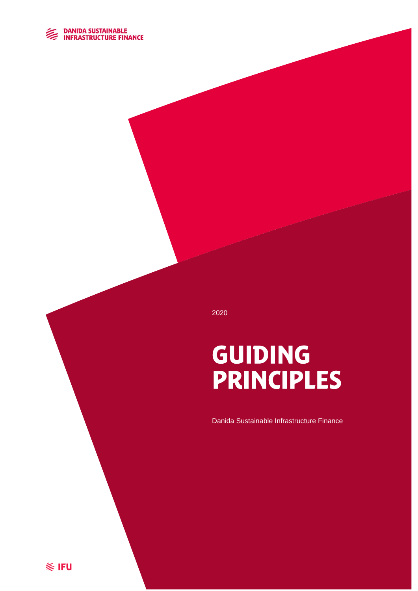

2020

# GUIDING **PRINCIPLES**

Danida Sustainable Infrastructure Finance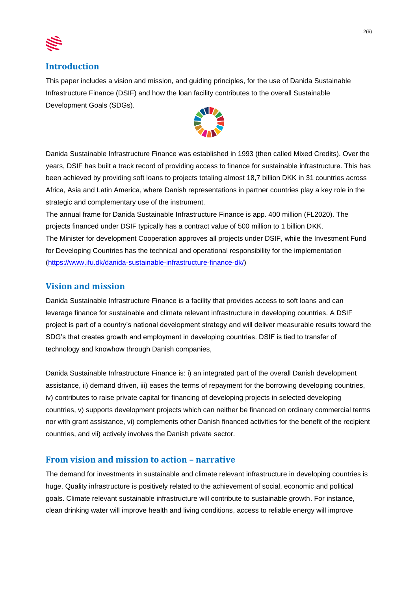

#### **Introduction**

This paper includes a vision and mission, and guiding principles, for the use of Danida Sustainable Infrastructure Finance (DSIF) and how the loan facility contributes to the overall Sustainable Development Goals (SDGs).



Danida Sustainable Infrastructure Finance was established in 1993 (then called Mixed Credits). Over the years, DSIF has built a track record of providing access to finance for sustainable infrastructure. This has been achieved by providing soft loans to projects totaling almost 18,7 billion DKK in 31 countries across Africa, Asia and Latin America, where Danish representations in partner countries play a key role in the strategic and complementary use of the instrument.

The annual frame for Danida Sustainable Infrastructure Finance is app. 400 million (FL2020). The projects financed under DSIF typically has a contract value of 500 million to 1 billion DKK. The Minister for development Cooperation approves all projects under DSIF, while the Investment Fund for Developing Countries has the technical and operational responsibility for the implementation [\(https://www.ifu.dk/danida-sustainable-infrastructure-finance-dk/\)](https://www.ifu.dk/danida-sustainable-infrastructure-finance-dk/)

## **Vision and mission**

Danida Sustainable Infrastructure Finance is a facility that provides access to soft loans and can leverage finance for sustainable and climate relevant infrastructure in developing countries. A DSIF project is part of a country's national development strategy and will deliver measurable results toward the SDG's that creates growth and employment in developing countries. DSIF is tied to transfer of technology and knowhow through Danish companies,

Danida Sustainable Infrastructure Finance is: i) an integrated part of the overall Danish development assistance, ii) demand driven, iii) eases the terms of repayment for the borrowing developing countries, iv) contributes to raise private capital for financing of developing projects in selected developing countries, v) supports development projects which can neither be financed on ordinary commercial terms nor with grant assistance, vi) complements other Danish financed activities for the benefit of the recipient countries, and vii) actively involves the Danish private sector.

#### **From vision and mission to action – narrative**

The demand for investments in sustainable and climate relevant infrastructure in developing countries is huge. Quality infrastructure is positively related to the achievement of social, economic and political goals. Climate relevant sustainable infrastructure will contribute to sustainable growth. For instance, clean drinking water will improve health and living conditions, access to reliable energy will improve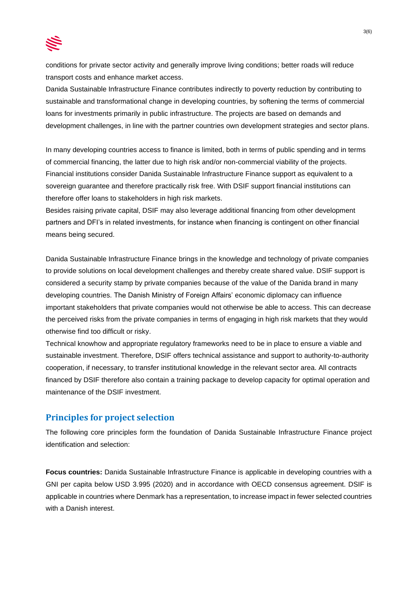

conditions for private sector activity and generally improve living conditions; better roads will reduce transport costs and enhance market access.

Danida Sustainable Infrastructure Finance contributes indirectly to poverty reduction by contributing to sustainable and transformational change in developing countries, by softening the terms of commercial loans for investments primarily in public infrastructure. The projects are based on demands and development challenges, in line with the partner countries own development strategies and sector plans.

In many developing countries access to finance is limited, both in terms of public spending and in terms of commercial financing, the latter due to high risk and/or non-commercial viability of the projects. Financial institutions consider Danida Sustainable Infrastructure Finance support as equivalent to a sovereign guarantee and therefore practically risk free. With DSIF support financial institutions can therefore offer loans to stakeholders in high risk markets.

Besides raising private capital, DSIF may also leverage additional financing from other development partners and DFI's in related investments, for instance when financing is contingent on other financial means being secured.

Danida Sustainable Infrastructure Finance brings in the knowledge and technology of private companies to provide solutions on local development challenges and thereby create shared value. DSIF support is considered a security stamp by private companies because of the value of the Danida brand in many developing countries. The Danish Ministry of Foreign Affairs' economic diplomacy can influence important stakeholders that private companies would not otherwise be able to access. This can decrease the perceived risks from the private companies in terms of engaging in high risk markets that they would otherwise find too difficult or risky.

Technical knowhow and appropriate regulatory frameworks need to be in place to ensure a viable and sustainable investment. Therefore, DSIF offers technical assistance and support to authority-to-authority cooperation, if necessary, to transfer institutional knowledge in the relevant sector area. All contracts financed by DSIF therefore also contain a training package to develop capacity for optimal operation and maintenance of the DSIF investment.

## **Principles for project selection**

The following core principles form the foundation of Danida Sustainable Infrastructure Finance project identification and selection:

**Focus countries:** Danida Sustainable Infrastructure Finance is applicable in developing countries with a GNI per capita below USD 3.995 (2020) and in accordance with OECD consensus agreement. DSIF is applicable in countries where Denmark has a representation, to increase impact in fewer selected countries with a Danish interest.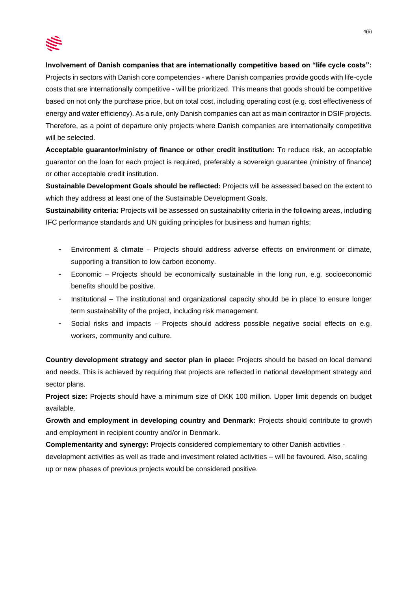

#### **Involvement of Danish companies that are internationally competitive based on "life cycle costs":**

Projects in sectors with Danish core competencies - where Danish companies provide goods with life-cycle costs that are internationally competitive - will be prioritized. This means that goods should be competitive based on not only the purchase price, but on total cost, including operating cost (e.g. cost effectiveness of energy and water efficiency). As a rule, only Danish companies can act as main contractor in DSIF projects. Therefore, as a point of departure only projects where Danish companies are internationally competitive will be selected.

**Acceptable guarantor/ministry of finance or other credit institution:** To reduce risk, an acceptable guarantor on the loan for each project is required, preferably a sovereign guarantee (ministry of finance) or other acceptable credit institution.

**Sustainable Development Goals should be reflected:** Projects will be assessed based on the extent to which they address at least one of the Sustainable Development Goals.

**Sustainability criteria:** Projects will be assessed on sustainability criteria in the following areas, including IFC performance standards and UN guiding principles for business and human rights:

- Environment & climate Projects should address adverse effects on environment or climate, supporting a transition to low carbon economy.
- Economic Projects should be economically sustainable in the long run, e.g. socioeconomic benefits should be positive.
- Institutional The institutional and organizational capacity should be in place to ensure longer term sustainability of the project, including risk management.
- Social risks and impacts Projects should address possible negative social effects on e.g. workers, community and culture.

**Country development strategy and sector plan in place:** Projects should be based on local demand and needs. This is achieved by requiring that projects are reflected in national development strategy and sector plans.

**Project size:** Projects should have a minimum size of DKK 100 million. Upper limit depends on budget available.

**Growth and employment in developing country and Denmark:** Projects should contribute to growth and employment in recipient country and/or in Denmark.

**Complementarity and synergy:** Projects considered complementary to other Danish activities development activities as well as trade and investment related activities – will be favoured. Also, scaling up or new phases of previous projects would be considered positive.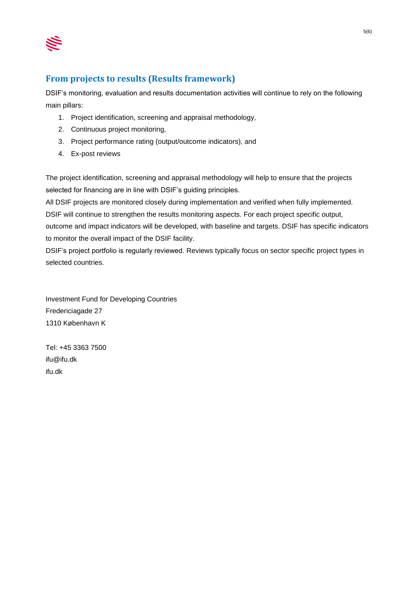

# **From projects to results (Results framework)**

DSIF's monitoring, evaluation and results documentation activities will continue to rely on the following main pillars:

- 1. Project identification, screening and appraisal methodology,
- 2. Continuous project monitoring,
- 3. Project performance rating (output/outcome indicators), and
- 4. Ex-post reviews

The project identification, screening and appraisal methodology will help to ensure that the projects selected for financing are in line with DSIF's guiding principles.

All DSIF projects are monitored closely during implementation and verified when fully implemented. DSIF will continue to strengthen the results monitoring aspects. For each project specific output, outcome and impact indicators will be developed, with baseline and targets. DSIF has specific indicators to monitor the overall impact of the DSIF facility.

DSIF's project portfolio is regularly reviewed. Reviews typically focus on sector specific project types in selected countries.

Investment Fund for Developing Countries Fredericiagade 27 1310 København K

Tel: +45 3363 7500 ifu@ifu.dk ifu.dk